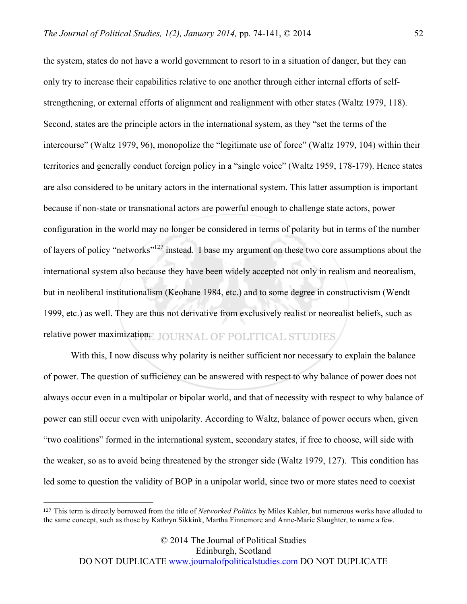the system, states do not have a world government to resort to in a situation of danger, but they can only try to increase their capabilities relative to one another through either internal efforts of selfstrengthening, or external efforts of alignment and realignment with other states (Waltz 1979, 118). Second, states are the principle actors in the international system, as they "set the terms of the intercourse" (Waltz 1979, 96), monopolize the "legitimate use of force" (Waltz 1979, 104) within their territories and generally conduct foreign policy in a "single voice" (Waltz 1959, 178-179). Hence states are also considered to be unitary actors in the international system. This latter assumption is important because if non-state or transnational actors are powerful enough to challenge state actors, power configuration in the world may no longer be considered in terms of polarity but in terms of the number of layers of policy "networks"<sup>127</sup> instead. I base my argument on these two core assumptions about the international system also because they have been widely accepted not only in realism and neorealism, but in neoliberal institutionalism (Keohane 1984, etc.) and to some degree in constructivism (Wendt 1999, etc.) as well. They are thus not derivative from exclusively realist or neorealist beliefs, such as relative power maximization. JOURNAL OF POLITICAL STUDIES

With this, I now discuss why polarity is neither sufficient nor necessary to explain the balance of power. The question of sufficiency can be answered with respect to why balance of power does not always occur even in a multipolar or bipolar world, and that of necessity with respect to why balance of power can still occur even with unipolarity. According to Waltz, balance of power occurs when, given "two coalitions" formed in the international system, secondary states, if free to choose, will side with the weaker, so as to avoid being threatened by the stronger side (Waltz 1979, 127). This condition has led some to question the validity of BOP in a unipolar world, since two or more states need to coexist

 $\overline{a}$ 

<sup>127</sup> This term is directly borrowed from the title of *Networked Politics* by Miles Kahler, but numerous works have alluded to the same concept, such as those by Kathryn Sikkink, Martha Finnemore and Anne-Marie Slaughter, to name a few.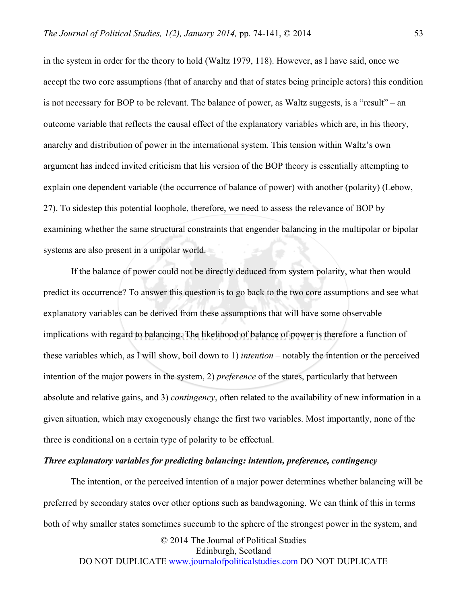in the system in order for the theory to hold (Waltz 1979, 118). However, as I have said, once we accept the two core assumptions (that of anarchy and that of states being principle actors) this condition is not necessary for BOP to be relevant. The balance of power, as Waltz suggests, is a "result" – an outcome variable that reflects the causal effect of the explanatory variables which are, in his theory, anarchy and distribution of power in the international system. This tension within Waltz's own argument has indeed invited criticism that his version of the BOP theory is essentially attempting to explain one dependent variable (the occurrence of balance of power) with another (polarity) (Lebow, 27). To sidestep this potential loophole, therefore, we need to assess the relevance of BOP by examining whether the same structural constraints that engender balancing in the multipolar or bipolar systems are also present in a unipolar world.

If the balance of power could not be directly deduced from system polarity, what then would predict its occurrence? To answer this question is to go back to the two core assumptions and see what explanatory variables can be derived from these assumptions that will have some observable implications with regard to balancing. The likelihood of balance of power is therefore a function of these variables which, as I will show, boil down to 1) *intention* – notably the intention or the perceived intention of the major powers in the system, 2) *preference* of the states, particularly that between absolute and relative gains, and 3) *contingency*, often related to the availability of new information in a given situation, which may exogenously change the first two variables. Most importantly, none of the three is conditional on a certain type of polarity to be effectual.

## *Three explanatory variables for predicting balancing: intention, preference, contingency*

The intention, or the perceived intention of a major power determines whether balancing will be preferred by secondary states over other options such as bandwagoning. We can think of this in terms both of why smaller states sometimes succumb to the sphere of the strongest power in the system, and

© 2014 The Journal of Political Studies Edinburgh, Scotland DO NOT DUPLICATE www.journalofpoliticalstudies.com DO NOT DUPLICATE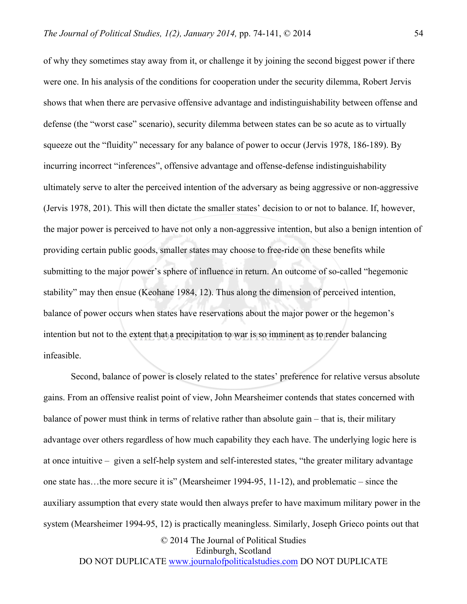of why they sometimes stay away from it, or challenge it by joining the second biggest power if there were one. In his analysis of the conditions for cooperation under the security dilemma, Robert Jervis shows that when there are pervasive offensive advantage and indistinguishability between offense and defense (the "worst case" scenario), security dilemma between states can be so acute as to virtually squeeze out the "fluidity" necessary for any balance of power to occur (Jervis 1978, 186-189). By incurring incorrect "inferences", offensive advantage and offense-defense indistinguishability ultimately serve to alter the perceived intention of the adversary as being aggressive or non-aggressive (Jervis 1978, 201). This will then dictate the smaller states' decision to or not to balance. If, however, the major power is perceived to have not only a non-aggressive intention, but also a benign intention of providing certain public goods, smaller states may choose to free-ride on these benefits while submitting to the major power's sphere of influence in return. An outcome of so-called "hegemonic stability" may then ensue (Keohane 1984, 12). Thus along the dimension of perceived intention, balance of power occurs when states have reservations about the major power or the hegemon's intention but not to the extent that a precipitation to war is so imminent as to render balancing infeasible.

© 2014 The Journal of Political Studies Second, balance of power is closely related to the states' preference for relative versus absolute gains. From an offensive realist point of view, John Mearsheimer contends that states concerned with balance of power must think in terms of relative rather than absolute gain – that is, their military advantage over others regardless of how much capability they each have. The underlying logic here is at once intuitive – given a self-help system and self-interested states, "the greater military advantage one state has…the more secure it is" (Mearsheimer 1994-95, 11-12), and problematic – since the auxiliary assumption that every state would then always prefer to have maximum military power in the system (Mearsheimer 1994-95, 12) is practically meaningless. Similarly, Joseph Grieco points out that

Edinburgh, Scotland

DO NOT DUPLICATE www.journalofpoliticalstudies.com DO NOT DUPLICATE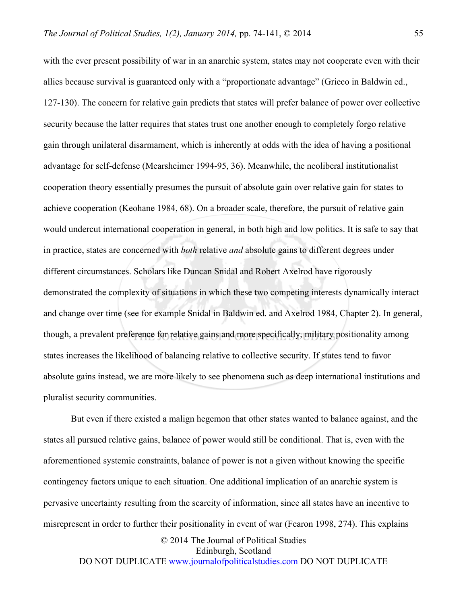with the ever present possibility of war in an anarchic system, states may not cooperate even with their allies because survival is guaranteed only with a "proportionate advantage" (Grieco in Baldwin ed., 127-130). The concern for relative gain predicts that states will prefer balance of power over collective security because the latter requires that states trust one another enough to completely forgo relative gain through unilateral disarmament, which is inherently at odds with the idea of having a positional advantage for self-defense (Mearsheimer 1994-95, 36). Meanwhile, the neoliberal institutionalist cooperation theory essentially presumes the pursuit of absolute gain over relative gain for states to achieve cooperation (Keohane 1984, 68). On a broader scale, therefore, the pursuit of relative gain would undercut international cooperation in general, in both high and low politics. It is safe to say that in practice, states are concerned with *both* relative *and* absolute gains to different degrees under different circumstances. Scholars like Duncan Snidal and Robert Axelrod have rigorously demonstrated the complexity of situations in which these two competing interests dynamically interact and change over time (see for example Snidal in Baldwin ed. and Axelrod 1984, Chapter 2). In general, though, a prevalent preference for relative gains and more specifically, military positionality among states increases the likelihood of balancing relative to collective security. If states tend to favor absolute gains instead, we are more likely to see phenomena such as deep international institutions and pluralist security communities.

But even if there existed a malign hegemon that other states wanted to balance against, and the states all pursued relative gains, balance of power would still be conditional. That is, even with the aforementioned systemic constraints, balance of power is not a given without knowing the specific contingency factors unique to each situation. One additional implication of an anarchic system is pervasive uncertainty resulting from the scarcity of information, since all states have an incentive to misrepresent in order to further their positionality in event of war (Fearon 1998, 274). This explains

> © 2014 The Journal of Political Studies Edinburgh, Scotland

DO NOT DUPLICATE www.journalofpoliticalstudies.com DO NOT DUPLICATE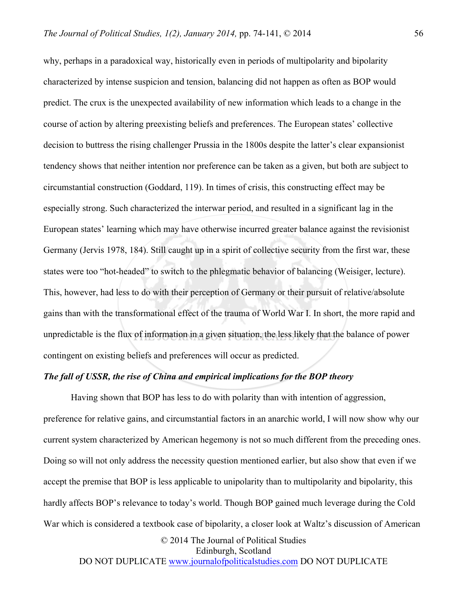why, perhaps in a paradoxical way, historically even in periods of multipolarity and bipolarity characterized by intense suspicion and tension, balancing did not happen as often as BOP would predict. The crux is the unexpected availability of new information which leads to a change in the course of action by altering preexisting beliefs and preferences. The European states' collective decision to buttress the rising challenger Prussia in the 1800s despite the latter's clear expansionist tendency shows that neither intention nor preference can be taken as a given, but both are subject to circumstantial construction (Goddard, 119). In times of crisis, this constructing effect may be especially strong. Such characterized the interwar period, and resulted in a significant lag in the European states' learning which may have otherwise incurred greater balance against the revisionist Germany (Jervis 1978, 184). Still caught up in a spirit of collective security from the first war, these states were too "hot-headed" to switch to the phlegmatic behavior of balancing (Weisiger, lecture). This, however, had less to do with their perception of Germany or their pursuit of relative/absolute gains than with the transformational effect of the trauma of World War I. In short, the more rapid and unpredictable is the flux of information in a given situation, the less likely that the balance of power contingent on existing beliefs and preferences will occur as predicted.

## *The fall of USSR, the rise of China and empirical implications for the BOP theory*

Having shown that BOP has less to do with polarity than with intention of aggression, preference for relative gains, and circumstantial factors in an anarchic world, I will now show why our current system characterized by American hegemony is not so much different from the preceding ones. Doing so will not only address the necessity question mentioned earlier, but also show that even if we accept the premise that BOP is less applicable to unipolarity than to multipolarity and bipolarity, this hardly affects BOP's relevance to today's world. Though BOP gained much leverage during the Cold War which is considered a textbook case of bipolarity, a closer look at Waltz's discussion of American

© 2014 The Journal of Political Studies Edinburgh, Scotland DO NOT DUPLICATE www.journalofpoliticalstudies.com DO NOT DUPLICATE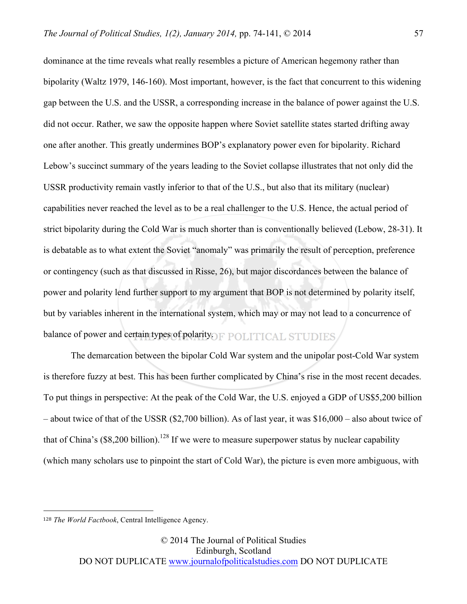dominance at the time reveals what really resembles a picture of American hegemony rather than bipolarity (Waltz 1979, 146-160). Most important, however, is the fact that concurrent to this widening gap between the U.S. and the USSR, a corresponding increase in the balance of power against the U.S. did not occur. Rather, we saw the opposite happen where Soviet satellite states started drifting away one after another. This greatly undermines BOP's explanatory power even for bipolarity. Richard Lebow's succinct summary of the years leading to the Soviet collapse illustrates that not only did the USSR productivity remain vastly inferior to that of the U.S., but also that its military (nuclear) capabilities never reached the level as to be a real challenger to the U.S. Hence, the actual period of strict bipolarity during the Cold War is much shorter than is conventionally believed (Lebow, 28-31). It is debatable as to what extent the Soviet "anomaly" was primarily the result of perception, preference or contingency (such as that discussed in Risse, 26), but major discordances between the balance of power and polarity lend further support to my argument that BOP is not determined by polarity itself, but by variables inherent in the international system, which may or may not lead to a concurrence of balance of power and certain types of polarity. F POLITICAL STUDIES,

The demarcation between the bipolar Cold War system and the unipolar post-Cold War system is therefore fuzzy at best. This has been further complicated by China's rise in the most recent decades. To put things in perspective: At the peak of the Cold War, the U.S. enjoyed a GDP of US\$5,200 billion – about twice of that of the USSR (\$2,700 billion). As of last year, it was \$16,000 – also about twice of that of China's  $(\$8,200$  billion).<sup>128</sup> If we were to measure superpower status by nuclear capability (which many scholars use to pinpoint the start of Cold War), the picture is even more ambiguous, with

 $\overline{a}$ 

<sup>128</sup> *The World Factbook*, Central Intelligence Agency.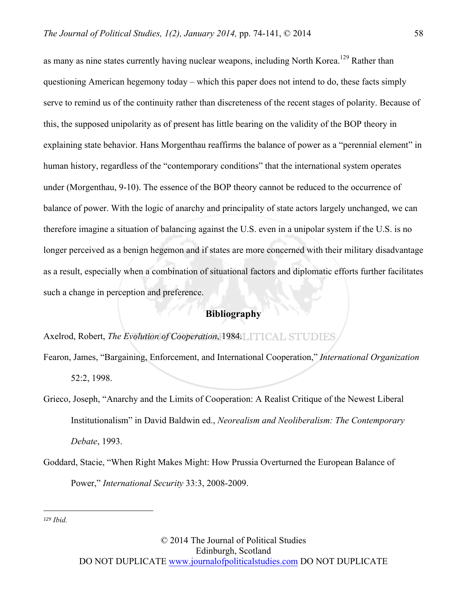as many as nine states currently having nuclear weapons, including North Korea.<sup>129</sup> Rather than questioning American hegemony today – which this paper does not intend to do, these facts simply serve to remind us of the continuity rather than discreteness of the recent stages of polarity. Because of this, the supposed unipolarity as of present has little bearing on the validity of the BOP theory in explaining state behavior. Hans Morgenthau reaffirms the balance of power as a "perennial element" in human history, regardless of the "contemporary conditions" that the international system operates under (Morgenthau, 9-10). The essence of the BOP theory cannot be reduced to the occurrence of balance of power. With the logic of anarchy and principality of state actors largely unchanged, we can therefore imagine a situation of balancing against the U.S. even in a unipolar system if the U.S. is no longer perceived as a benign hegemon and if states are more concerned with their military disadvantage as a result, especially when a combination of situational factors and diplomatic efforts further facilitates such a change in perception and preference.

## **Bibliography**

Axelrod, Robert, *The Evolution of Cooperation*, 1984.

Fearon, James, "Bargaining, Enforcement, and International Cooperation," *International Organization* 52:2, 1998.

Grieco, Joseph, "Anarchy and the Limits of Cooperation: A Realist Critique of the Newest Liberal Institutionalism" in David Baldwin ed., *Neorealism and Neoliberalism: The Contemporary Debate*, 1993.

Goddard, Stacie, "When Right Makes Might: How Prussia Overturned the European Balance of Power," *International Security* 33:3, 2008-2009.

*<sup>129</sup> Ibid.*

 $\overline{a}$